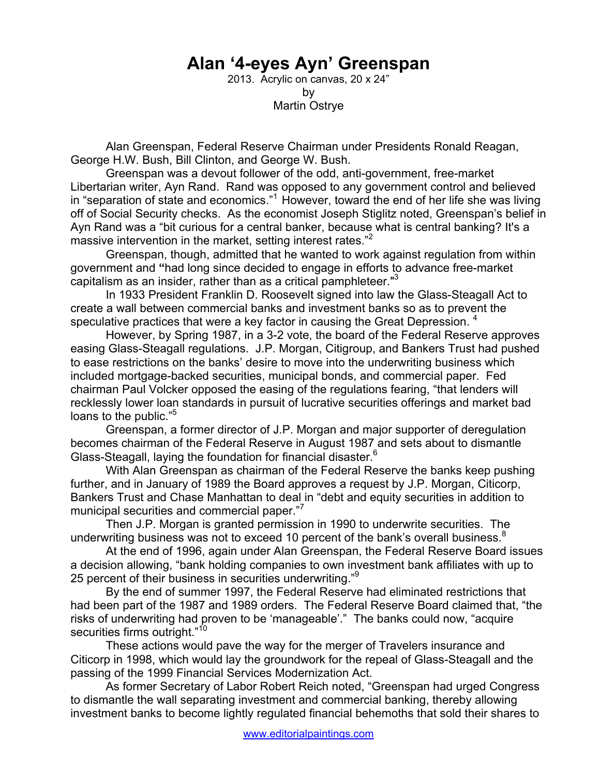## **Alan '4-eyes Ayn' Greenspan**

2013. Acrylic on canvas, 20 x 24" by Martin Ostrye

Alan Greenspan, Federal Reserve Chairman under Presidents Ronald Reagan, George H.W. Bush, Bill Clinton, and George W. Bush.

Greenspan was a devout follower of the odd, anti-government, free-market Libertarian writer, Ayn Rand. Rand was opposed to any government control and believed in "separation of state and economics."1 However, toward the end of her life she was living off of Social Security checks. As the economist Joseph Stiglitz noted, Greenspan's belief in Ayn Rand was a "bit curious for a central banker, because what is central banking? It's a massive intervention in the market, setting interest rates."<sup>2</sup>

Greenspan, though, admitted that he wanted to work against regulation from within government and **"**had long since decided to engage in efforts to advance free-market capitalism as an insider, rather than as a critical pamphleteer."<sup>3</sup>

In 1933 President Franklin D. Roosevelt signed into law the Glass-Steagall Act to create a wall between commercial banks and investment banks so as to prevent the speculative practices that were a key factor in causing the Great Depression.  $4$ 

 However, by Spring 1987, in a 3-2 vote, the board of the Federal Reserve approves easing Glass-Steagall regulations. J.P. Morgan, Citigroup, and Bankers Trust had pushed to ease restrictions on the banks' desire to move into the underwriting business which included mortgage-backed securities, municipal bonds, and commercial paper. Fed chairman Paul Volcker opposed the easing of the regulations fearing, "that lenders will recklessly lower loan standards in pursuit of lucrative securities offerings and market bad loans to the public."<sup>5</sup>

Greenspan, a former director of J.P. Morgan and major supporter of deregulation becomes chairman of the Federal Reserve in August 1987 and sets about to dismantle Glass-Steagall, laying the foundation for financial disaster. $6$ 

With Alan Greenspan as chairman of the Federal Reserve the banks keep pushing further, and in January of 1989 the Board approves a request by J.P. Morgan, Citicorp, Bankers Trust and Chase Manhattan to deal in "debt and equity securities in addition to municipal securities and commercial paper."<sup>7</sup>

Then J.P. Morgan is granted permission in 1990 to underwrite securities. The underwriting business was not to exceed 10 percent of the bank's overall business.<sup>8</sup>

At the end of 1996, again under Alan Greenspan, the Federal Reserve Board issues a decision allowing, "bank holding companies to own investment bank affiliates with up to 25 percent of their business in securities underwriting."<sup>9</sup>

 By the end of summer 1997, the Federal Reserve had eliminated restrictions that had been part of the 1987 and 1989 orders. The Federal Reserve Board claimed that, "the risks of underwriting had proven to be 'manageable'." The banks could now, "acquire securities firms outright."<sup>10</sup>

These actions would pave the way for the merger of Travelers insurance and Citicorp in 1998, which would lay the groundwork for the repeal of Glass-Steagall and the passing of the 1999 Financial Services Modernization Act.

As former Secretary of Labor Robert Reich noted, "Greenspan had urged Congress to dismantle the wall separating investment and commercial banking, thereby allowing investment banks to become lightly regulated financial behemoths that sold their shares to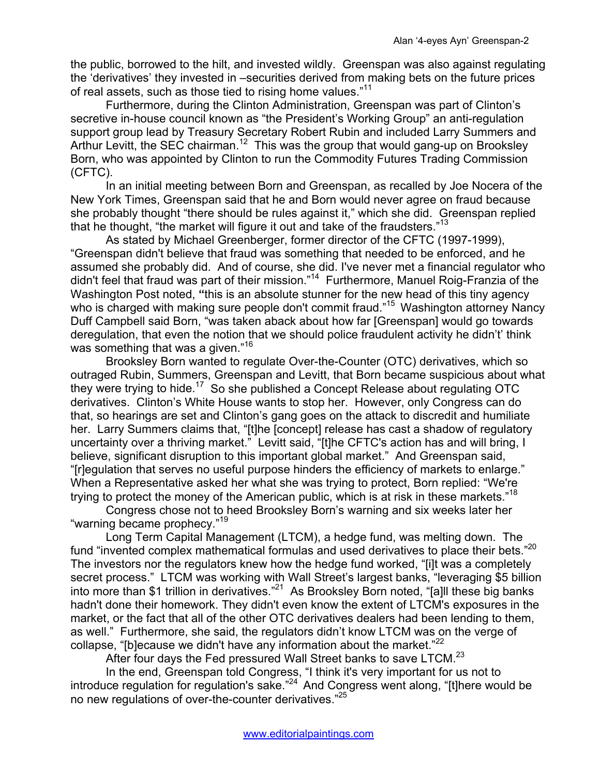the public, borrowed to the hilt, and invested wildly. Greenspan was also against regulating the 'derivatives' they invested in –securities derived from making bets on the future prices of real assets, such as those tied to rising home values."<sup>11</sup>

Furthermore, during the Clinton Administration, Greenspan was part of Clinton's secretive in-house council known as "the President's Working Group" an anti-regulation support group lead by Treasury Secretary Robert Rubin and included Larry Summers and Arthur Levitt, the SEC chairman.<sup>12</sup> This was the group that would gang-up on Brooksley Born, who was appointed by Clinton to run the Commodity Futures Trading Commission (CFTC).

 In an initial meeting between Born and Greenspan, as recalled by Joe Nocera of the New York Times, Greenspan said that he and Born would never agree on fraud because she probably thought "there should be rules against it," which she did. Greenspan replied that he thought, "the market will figure it out and take of the fraudsters."<sup>13</sup>

 As stated by Michael Greenberger, former director of the CFTC (1997-1999), "Greenspan didn't believe that fraud was something that needed to be enforced, and he assumed she probably did. And of course, she did. I've never met a financial regulator who didn't feel that fraud was part of their mission."14 Furthermore, Manuel Roig-Franzia of the Washington Post noted, **"**this is an absolute stunner for the new head of this tiny agency who is charged with making sure people don't commit fraud."<sup>15</sup> Washington attorney Nancy Duff Campbell said Born, "was taken aback about how far [Greenspan] would go towards deregulation, that even the notion that we should police fraudulent activity he didn't' think was something that was a given."<sup>16</sup>

Brooksley Born wanted to regulate Over-the-Counter (OTC) derivatives, which so outraged Rubin, Summers, Greenspan and Levitt, that Born became suspicious about what they were trying to hide.<sup>17</sup> So she published a Concept Release about regulating OTC derivatives. Clinton's White House wants to stop her. However, only Congress can do that, so hearings are set and Clinton's gang goes on the attack to discredit and humiliate her. Larry Summers claims that, "[t]he [concept] release has cast a shadow of regulatory uncertainty over a thriving market." Levitt said, "[t]he CFTC's action has and will bring, I believe, significant disruption to this important global market." And Greenspan said, "[r]egulation that serves no useful purpose hinders the efficiency of markets to enlarge." When a Representative asked her what she was trying to protect, Born replied: "We're trying to protect the money of the American public, which is at risk in these markets."18

 Congress chose not to heed Brooksley Born's warning and six weeks later her "warning became prophecy."<sup>19</sup>

 Long Term Capital Management (LTCM), a hedge fund, was melting down. The fund "invented complex mathematical formulas and used derivatives to place their bets."20 The investors nor the regulators knew how the hedge fund worked, "[i]t was a completely secret process." LTCM was working with Wall Street's largest banks, "leveraging \$5 billion into more than \$1 trillion in derivatives."<sup>21</sup> As Brooksley Born noted, "[a]ll these big banks hadn't done their homework. They didn't even know the extent of LTCM's exposures in the market, or the fact that all of the other OTC derivatives dealers had been lending to them, as well." Furthermore, she said, the regulators didn't know LTCM was on the verge of collapse, "[b]ecause we didn't have any information about the market. $22$ 

After four days the Fed pressured Wall Street banks to save LTCM. $^{23}$ 

 In the end, Greenspan told Congress, "I think it's very important for us not to introduce regulation for regulation's sake."<sup>24</sup> And Congress went along, "[t]here would be no new regulations of over-the-counter derivatives."25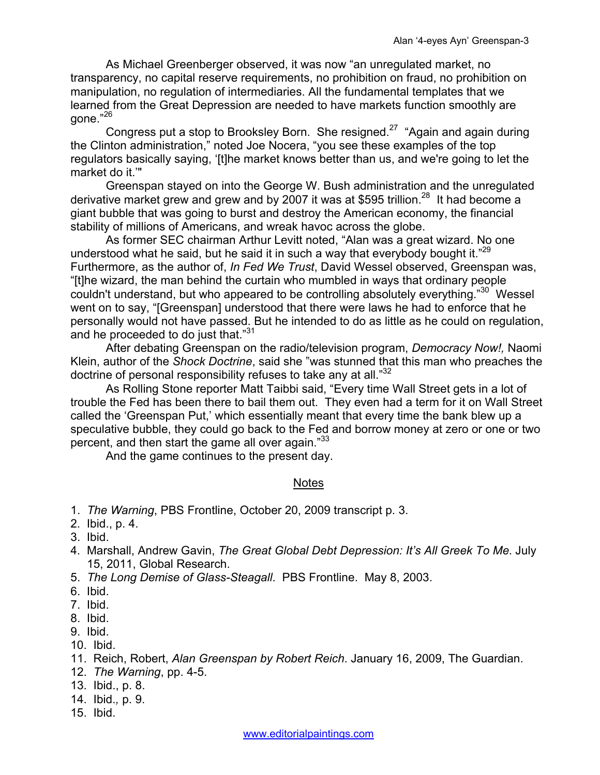As Michael Greenberger observed, it was now "an unregulated market, no transparency, no capital reserve requirements, no prohibition on fraud, no prohibition on manipulation, no regulation of intermediaries. All the fundamental templates that we learned from the Great Depression are needed to have markets function smoothly are gone."26

Congress put a stop to Brooksley Born. She resigned.<sup>27</sup> "Again and again during the Clinton administration," noted Joe Nocera, "you see these examples of the top regulators basically saying, '[t]he market knows better than us, and we're going to let the market do it.'"

 Greenspan stayed on into the George W. Bush administration and the unregulated derivative market grew and grew and by 2007 it was at \$595 trillion.<sup>28</sup> It had become a giant bubble that was going to burst and destroy the American economy, the financial stability of millions of Americans, and wreak havoc across the globe.

As former SEC chairman Arthur Levitt noted, "Alan was a great wizard. No one understood what he said, but he said it in such a way that everybody bought it. $"^{29}$ Furthermore, as the author of, *In Fed We Trust*, David Wessel observed, Greenspan was, "[t]he wizard, the man behind the curtain who mumbled in ways that ordinary people couldn't understand, but who appeared to be controlling absolutely everything."<sup>30</sup> Wessel went on to say, "[Greenspan] understood that there were laws he had to enforce that he personally would not have passed. But he intended to do as little as he could on regulation, and he proceeded to do just that."<sup>31</sup>

After debating Greenspan on the radio/television program, *Democracy Now!,* Naomi Klein, author of the *Shock Doctrine*, said she "was stunned that this man who preaches the doctrine of personal responsibility refuses to take any at all."<sup>32</sup>

 As Rolling Stone reporter Matt Taibbi said, "Every time Wall Street gets in a lot of trouble the Fed has been there to bail them out. They even had a term for it on Wall Street called the 'Greenspan Put,' which essentially meant that every time the bank blew up a speculative bubble, they could go back to the Fed and borrow money at zero or one or two percent, and then start the game all over again."33

And the game continues to the present day.

## **Notes**

- 1. *The Warning*, PBS Frontline, October 20, 2009 transcript p. 3.
- 2. Ibid., p. 4.
- 3. Ibid.
- 4. Marshall, Andrew Gavin, *The Great Global Debt Depression: It's All Greek To Me*. July 15, 2011, Global Research.
- 5. *The Long Demise of Glass-Steagall*. PBS Frontline. May 8, 2003.
- 6. Ibid.
- 7. Ibid.
- 8. Ibid.
- 9. Ibid.
- 10. Ibid.
- 11. Reich, Robert, *Alan Greenspan by Robert Reich*. January 16, 2009, The Guardian.
- 12. *The Warning*, pp. 4-5.
- 13. Ibid., p. 8.
- 14. Ibid.*,* p. 9.
- 15. Ibid.